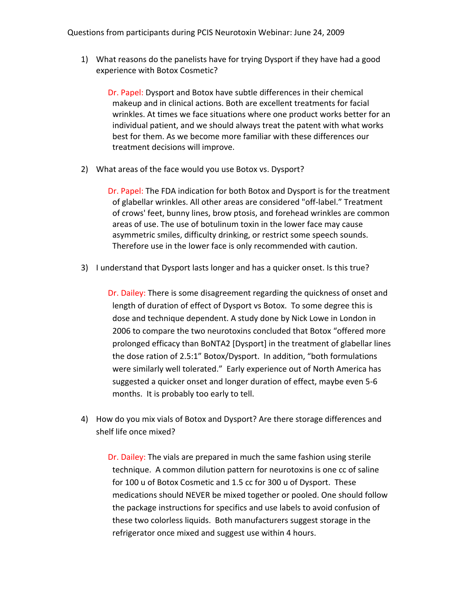Questions from participants during PCIS Neurotoxin Webinar: June 24, 2009

1) What reasons do the panelists have for trying Dysport if they have had a good experience with Botox Cosmetic?

Dr. Papel: Dysport and Botox have subtle differences in their chemical makeup and in clinical actions. Both are excellent treatments for facial wrinkles. At times we face situations where one product works better for an individual patient, and we should always treat the patent with what works best for them. As we become more familiar with these differences our treatment decisions will improve.

2) What areas of the face would you use Botox vs. Dysport?

Dr. Papel: The FDA indication for both Botox and Dysport is for the treatment of glabellar wrinkles. All other areas are considered "off‐label." Treatment of crows' feet, bunny lines, brow ptosis, and forehead wrinkles are common areas of use. The use of botulinum toxin in the lower face may cause asymmetric smiles, difficulty drinking, or restrict some speech sounds. Therefore use in the lower face is only recommended with caution.

3) I understand that Dysport lasts longer and has a quicker onset. Is this true?

Dr. Dailey: There is some disagreement regarding the quickness of onset and length of duration of effect of Dysport vs Botox. To some degree this is dose and technique dependent. A study done by Nick Lowe in London in 2006 to compare the two neurotoxins concluded that Botox "offered more prolonged efficacy than BoNTA2 [Dysport] in the treatment of glabellar lines the dose ration of 2.5:1" Botox/Dysport. In addition, "both formulations were similarly well tolerated." Early experience out of North America has suggested a quicker onset and longer duration of effect, maybe even 5‐6 months. It is probably too early to tell.

4) How do you mix vials of Botox and Dysport? Are there storage differences and shelf life once mixed?

Dr. Dailey: The vials are prepared in much the same fashion using sterile technique. A common dilution pattern for neurotoxins is one cc of saline for 100 u of Botox Cosmetic and 1.5 cc for 300 u of Dysport. These medications should NEVER be mixed together or pooled. One should follow the package instructions for specifics and use labels to avoid confusion of these two colorless liquids. Both manufacturers suggest storage in the refrigerator once mixed and suggest use within 4 hours.